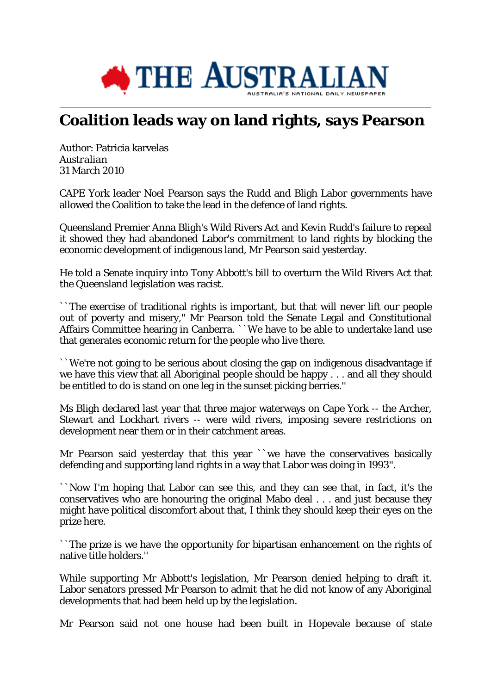

## **Coalition leads way on land rights, says Pearson**

Author: Patricia karvelas *Australian* 31 March 2010

CAPE York leader Noel Pearson says the Rudd and Bligh Labor governments have allowed the Coalition to take the lead in the defence of land rights.

Queensland Premier Anna Bligh's Wild Rivers Act and Kevin Rudd's failure to repeal it showed they had abandoned Labor's commitment to land rights by blocking the economic development of indigenous land, Mr Pearson said yesterday.

He told a Senate inquiry into Tony Abbott's bill to overturn the Wild Rivers Act that the Queensland legislation was racist.

``The exercise of traditional rights is important, but that will never lift our people out of poverty and misery,'' Mr Pearson told the Senate Legal and Constitutional Affairs Committee hearing in Canberra. ``We have to be able to undertake land use that generates economic return for the people who live there.

``We're not going to be serious about closing the gap on indigenous disadvantage if we have this view that all Aboriginal people should be happy . . . and all they should be entitled to do is stand on one leg in the sunset picking berries.''

Ms Bligh declared last year that three major waterways on Cape York -- the Archer, Stewart and Lockhart rivers -- were wild rivers, imposing severe restrictions on development near them or in their catchment areas.

Mr Pearson said yesterday that this year ``we have the conservatives basically defending and supporting land rights in a way that Labor was doing in 1993''.

``Now I'm hoping that Labor can see this, and they can see that, in fact, it's the conservatives who are honouring the original Mabo deal . . . and just because they might have political discomfort about that, I think they should keep their eyes on the prize here.

``The prize is we have the opportunity for bipartisan enhancement on the rights of native title holders."

While supporting Mr Abbott's legislation, Mr Pearson denied helping to draft it. Labor senators pressed Mr Pearson to admit that he did not know of any Aboriginal developments that had been held up by the legislation.

Mr Pearson said not one house had been built in Hopevale because of state